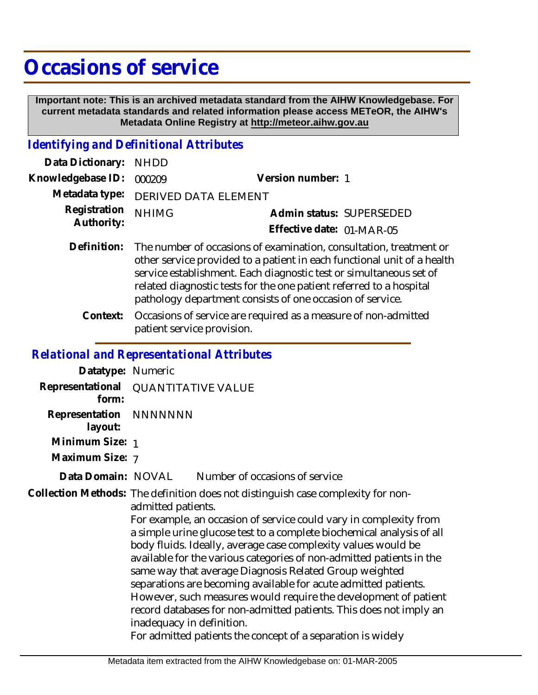## **Occasions of service**

 **Important note: This is an archived metadata standard from the AIHW Knowledgebase. For current metadata standards and related information please access METeOR, the AIHW's Metadata Online Registry at http://meteor.aihw.gov.au**

## *Identifying and Definitional Attributes*

| Data Dictionary: NHDD    |                                     |                           |                          |
|--------------------------|-------------------------------------|---------------------------|--------------------------|
| Knowledgebase ID: 000209 |                                     | Version number: 1         |                          |
|                          | Metadata type: DERIVED DATA ELEMENT |                           |                          |
| Registration NHIMG       |                                     |                           | Admin status: SUPERSEDED |
| Authority:               |                                     | Effective date: 01-MAR-05 |                          |

- Definition: The number of occasions of examination, consultation, treatment or other service provided to a patient in each functional unit of a health service establishment. Each diagnostic test or simultaneous set of related diagnostic tests for the one patient referred to a hospital pathology department consists of one occasion of service.
	- Occasions of service are required as a measure of non-admitted patient service provision. **Context:**

## *Relational and Representational Attributes*

| Datatype: Numeric                 |                                                                                                                                                                                                                                                                                                                                                                                                                                                                                                                                                                                                                                                                                                                                                                 |  |
|-----------------------------------|-----------------------------------------------------------------------------------------------------------------------------------------------------------------------------------------------------------------------------------------------------------------------------------------------------------------------------------------------------------------------------------------------------------------------------------------------------------------------------------------------------------------------------------------------------------------------------------------------------------------------------------------------------------------------------------------------------------------------------------------------------------------|--|
| Representational<br>form:         | <b>QUANTITATIVE VALUE</b>                                                                                                                                                                                                                                                                                                                                                                                                                                                                                                                                                                                                                                                                                                                                       |  |
| Representation NNNNNNN<br>layout: |                                                                                                                                                                                                                                                                                                                                                                                                                                                                                                                                                                                                                                                                                                                                                                 |  |
| Minimum Size: 1                   |                                                                                                                                                                                                                                                                                                                                                                                                                                                                                                                                                                                                                                                                                                                                                                 |  |
| Maximum Size: 7                   |                                                                                                                                                                                                                                                                                                                                                                                                                                                                                                                                                                                                                                                                                                                                                                 |  |
| Data Domain: NOVAL                | Number of occasions of service                                                                                                                                                                                                                                                                                                                                                                                                                                                                                                                                                                                                                                                                                                                                  |  |
|                                   | Collection Methods: The definition does not distinguish case complexity for non-<br>admitted patients.<br>For example, an occasion of service could vary in complexity from<br>a simple urine glucose test to a complete biochemical analysis of all<br>body fluids. Ideally, average case complexity values would be<br>available for the various categories of non-admitted patients in the<br>same way that average Diagnosis Related Group weighted<br>separations are becoming available for acute admitted patients.<br>However, such measures would require the development of patient<br>record databases for non-admitted patients. This does not imply an<br>inadequacy in definition.<br>For admitted patients the concept of a separation is widely |  |